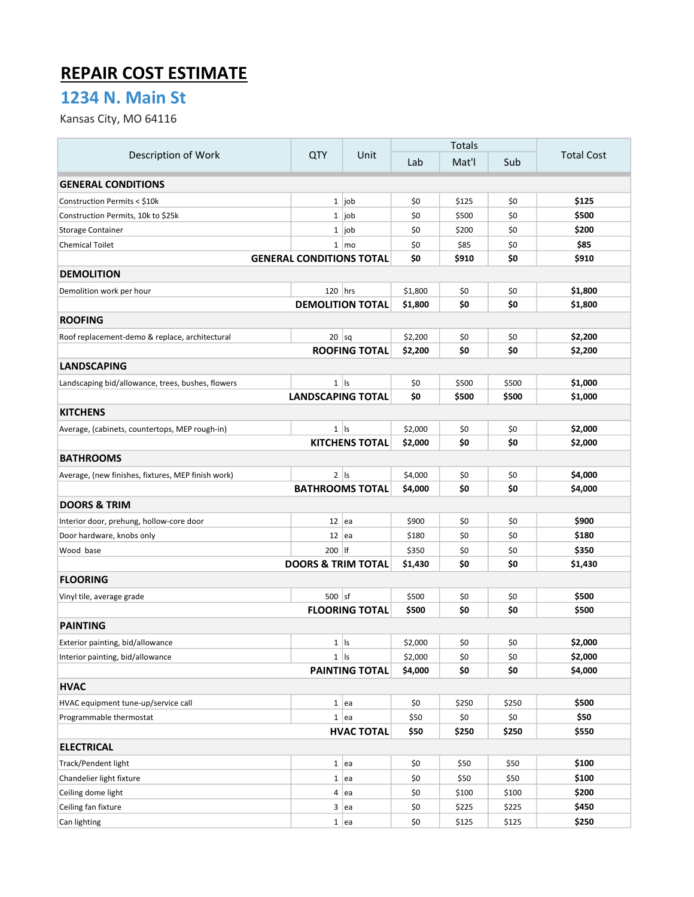## REPAIR COST ESTIMATE

## 1234 N. Main St

Kansas City, MO 64116

| Description of Work                                | QTY                             | Unit                    | <b>Totals</b> |       |       |                   |
|----------------------------------------------------|---------------------------------|-------------------------|---------------|-------|-------|-------------------|
|                                                    |                                 |                         | Lab           | Mat'l | Sub   | <b>Total Cost</b> |
| <b>GENERAL CONDITIONS</b>                          |                                 |                         |               |       |       |                   |
| Construction Permits < \$10k                       |                                 | $1$  job                | \$0           | \$125 | \$0   | \$125             |
| Construction Permits, 10k to \$25k                 |                                 | $1$ job                 | \$0           | \$500 | \$0   | \$500             |
| Storage Container                                  |                                 | $1$ job                 | \$0           | \$200 | \$0   | \$200             |
| <b>Chemical Toilet</b>                             |                                 | $1 \mid \text{mo}$      | \$0           | \$85  | \$0   | \$85              |
|                                                    | <b>GENERAL CONDITIONS TOTAL</b> |                         | \$0           | \$910 | \$0   | \$910             |
| <b>DEMOLITION</b>                                  |                                 |                         |               |       |       |                   |
| Demolition work per hour                           | $120$ hrs                       |                         | \$1,800       | \$0   | \$0   | \$1,800           |
|                                                    |                                 | <b>DEMOLITION TOTAL</b> | \$1,800       | \$0   | \$0   | \$1,800           |
| <b>ROOFING</b>                                     |                                 |                         |               |       |       |                   |
| Roof replacement-demo & replace, architectural     | $20$ sq                         |                         | \$2,200       | \$0   | \$0   | \$2,200           |
|                                                    |                                 | <b>ROOFING TOTAL</b>    | \$2,200       | \$0   | \$0   | \$2,200           |
| <b>LANDSCAPING</b>                                 |                                 |                         |               |       |       |                   |
| Landscaping bid/allowance, trees, bushes, flowers  |                                 | $1$   $\vert$           | \$0           | \$500 | \$500 | \$1,000           |
|                                                    | <b>LANDSCAPING TOTAL</b>        |                         | \$0           | \$500 | \$500 | \$1,000           |
| <b>KITCHENS</b>                                    |                                 |                         |               |       |       |                   |
| Average, (cabinets, countertops, MEP rough-in)     |                                 | $1$   Is                | \$2,000       | \$0   | \$0   | \$2,000           |
|                                                    |                                 | <b>KITCHENS TOTAL</b>   | \$2,000       | \$0   | \$0   | \$2,000           |
| <b>BATHROOMS</b>                                   |                                 |                         |               |       |       |                   |
| Average, (new finishes, fixtures, MEP finish work) |                                 | $2$   Is                | \$4,000       | \$0   | \$0   | \$4,000           |
|                                                    |                                 | <b>BATHROOMS TOTAL</b>  | \$4,000       | \$0   | \$0   | \$4,000           |
| <b>DOORS &amp; TRIM</b>                            |                                 |                         |               |       |       |                   |
| Interior door, prehung, hollow-core door           | $12$ ea                         |                         | \$900         | \$0   | \$0   | \$900             |
| Door hardware, knobs only                          | $12$ ea                         |                         | \$180         | \$0   | \$0   | \$180             |
| Wood base                                          | $200$   If                      |                         | \$350         | \$0   | \$0   | \$350             |
| <b>DOORS &amp; TRIM TOTAL</b>                      |                                 |                         |               | \$0   | \$0   | \$1,430           |
| <b>FLOORING</b>                                    |                                 |                         |               |       |       |                   |
| Vinyl tile, average grade                          | $500$ sf                        |                         | \$500         | \$0   | \$0   | \$500             |
|                                                    |                                 | <b>FLOORING TOTAL</b>   | \$500         | \$0   | \$0   | \$500             |
| <b>PAINTING</b>                                    |                                 |                         |               |       |       |                   |
| Exterior painting, bid/allowance                   |                                 | $1$   $\vert s \vert$   | \$2,000       | \$0   | \$0   | \$2,000           |
| Interior painting, bid/allowance                   |                                 | $1$   Is                | \$2,000       | \$0   | \$0   | \$2,000           |
|                                                    |                                 | <b>PAINTING TOTAL</b>   | \$4,000       | \$0   | \$0   | \$4,000           |
| <b>HVAC</b>                                        |                                 |                         |               |       |       |                   |
| HVAC equipment tune-up/service call                |                                 | 1  ea                   | \$0           | \$250 | \$250 | \$500             |
| Programmable thermostat                            |                                 | 1  ea                   | \$50          | \$0   | \$0   | \$50              |
|                                                    |                                 | <b>HVAC TOTAL</b>       | \$50          | \$250 | \$250 | \$550             |
| <b>ELECTRICAL</b>                                  |                                 |                         |               |       |       |                   |
| Track/Pendent light                                |                                 | 1  ea                   | \$0           | \$50  | \$50  | \$100             |
| Chandelier light fixture                           |                                 | 1  ea                   | \$0           | \$50  | \$50  | \$100             |
| Ceiling dome light                                 |                                 | $4 \mid$ ea             | \$0           | \$100 | \$100 | \$200             |
| Ceiling fan fixture                                |                                 | 3 ea                    | \$0           | \$225 | \$225 | \$450             |
| Can lighting                                       |                                 | 1  ea                   | \$0           | \$125 | \$125 | \$250             |